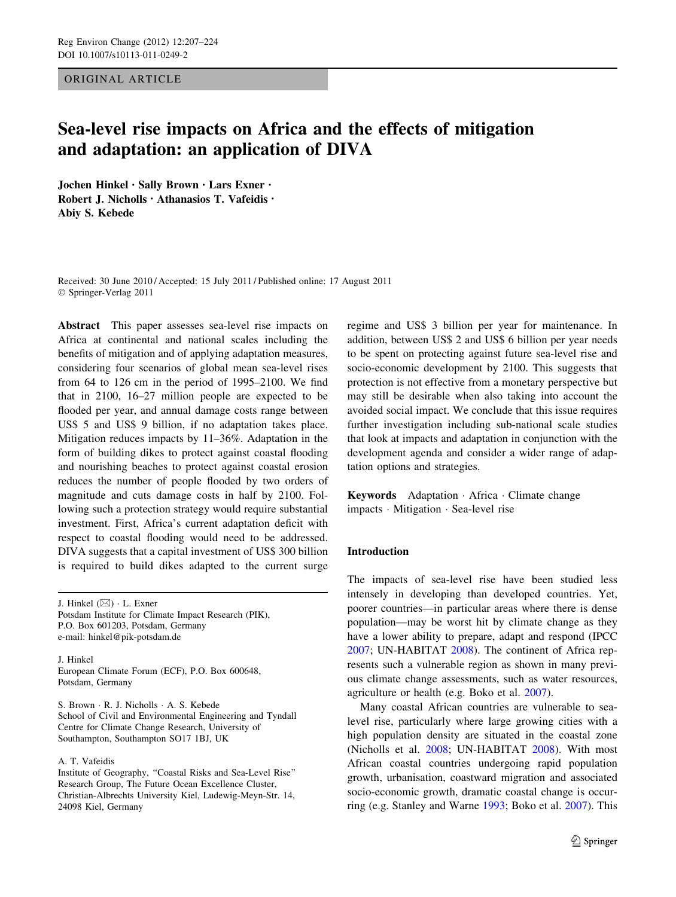ORIGINAL ARTICLE

# Sea-level rise impacts on Africa and the effects of mitigation and adaptation: an application of DIVA

Jochen Hinkel • Sally Brown • Lars Exner • Robert J. Nicholls • Athanasios T. Vafeidis • Abiy S. Kebede

Received: 30 June 2010 / Accepted: 15 July 2011 / Published online: 17 August 2011  $©$  Springer-Verlag 2011

Abstract This paper assesses sea-level rise impacts on Africa at continental and national scales including the benefits of mitigation and of applying adaptation measures, considering four scenarios of global mean sea-level rises from 64 to 126 cm in the period of 1995–2100. We find that in 2100, 16–27 million people are expected to be flooded per year, and annual damage costs range between US\$ 5 and US\$ 9 billion, if no adaptation takes place. Mitigation reduces impacts by 11–36%. Adaptation in the form of building dikes to protect against coastal flooding and nourishing beaches to protect against coastal erosion reduces the number of people flooded by two orders of magnitude and cuts damage costs in half by 2100. Following such a protection strategy would require substantial investment. First, Africa's current adaptation deficit with respect to coastal flooding would need to be addressed. DIVA suggests that a capital investment of US\$ 300 billion is required to build dikes adapted to the current surge

J. Hinkel  $(\boxtimes) \cdot$  L. Exner Potsdam Institute for Climate Impact Research (PIK), P.O. Box 601203, Potsdam, Germany e-mail: hinkel@pik-potsdam.de

J. Hinkel European Climate Forum (ECF), P.O. Box 600648, Potsdam, Germany

S. Brown · R. J. Nicholls · A. S. Kebede School of Civil and Environmental Engineering and Tyndall Centre for Climate Change Research, University of Southampton, Southampton SO17 1BJ, UK

#### A. T. Vafeidis

Institute of Geography, ''Coastal Risks and Sea-Level Rise'' Research Group, The Future Ocean Excellence Cluster, Christian-Albrechts University Kiel, Ludewig-Meyn-Str. 14, 24098 Kiel, Germany

regime and US\$ 3 billion per year for maintenance. In addition, between US\$ 2 and US\$ 6 billion per year needs to be spent on protecting against future sea-level rise and socio-economic development by 2100. This suggests that protection is not effective from a monetary perspective but may still be desirable when also taking into account the avoided social impact. We conclude that this issue requires further investigation including sub-national scale studies that look at impacts and adaptation in conjunction with the development agenda and consider a wider range of adaptation options and strategies.

**Keywords** Adaptation  $\cdot$  Africa  $\cdot$  Climate change impacts · Mitigation · Sea-level rise

#### Introduction

The impacts of sea-level rise have been studied less intensely in developing than developed countries. Yet, poorer countries—in particular areas where there is dense population—may be worst hit by climate change as they have a lower ability to prepare, adapt and respond (IPCC [2007](#page-16-0); UN-HABITAT [2008\)](#page-16-0). The continent of Africa represents such a vulnerable region as shown in many previous climate change assessments, such as water resources, agriculture or health (e.g. Boko et al. [2007](#page-15-0)).

Many coastal African countries are vulnerable to sealevel rise, particularly where large growing cities with a high population density are situated in the coastal zone (Nicholls et al. [2008](#page-16-0); UN-HABITAT [2008](#page-16-0)). With most African coastal countries undergoing rapid population growth, urbanisation, coastward migration and associated socio-economic growth, dramatic coastal change is occurring (e.g. Stanley and Warne [1993](#page-16-0); Boko et al. [2007\)](#page-15-0). This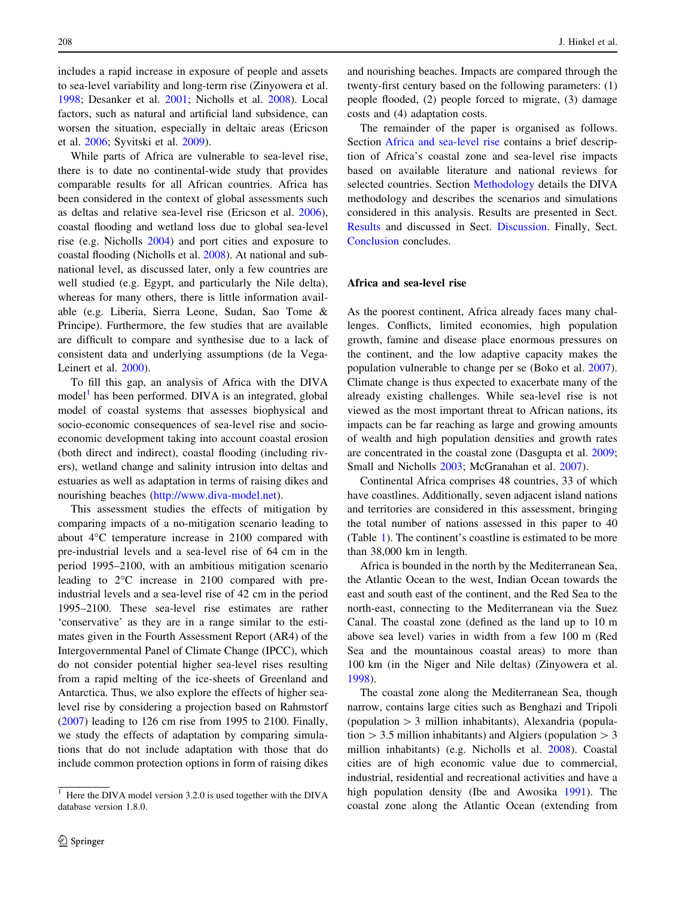includes a rapid increase in exposure of people and assets to sea-level variability and long-term rise (Zinyowera et al. [1998;](#page-17-0) Desanker et al. [2001](#page-15-0); Nicholls et al. [2008](#page-16-0)). Local factors, such as natural and artificial land subsidence, can worsen the situation, especially in deltaic areas (Ericson et al. [2006;](#page-15-0) Syvitski et al. [2009\)](#page-16-0).

While parts of Africa are vulnerable to sea-level rise, there is to date no continental-wide study that provides comparable results for all African countries. Africa has been considered in the context of global assessments such as deltas and relative sea-level rise (Ericson et al. [2006](#page-15-0)), coastal flooding and wetland loss due to global sea-level rise (e.g. Nicholls [2004\)](#page-16-0) and port cities and exposure to coastal flooding (Nicholls et al. [2008](#page-16-0)). At national and subnational level, as discussed later, only a few countries are well studied (e.g. Egypt, and particularly the Nile delta), whereas for many others, there is little information available (e.g. Liberia, Sierra Leone, Sudan, Sao Tome & Principe). Furthermore, the few studies that are available are difficult to compare and synthesise due to a lack of consistent data and underlying assumptions (de la Vega-Leinert et al. [2000\)](#page-15-0).

To fill this gap, an analysis of Africa with the DIVA model<sup>[1](#page-1-0)</sup> has been performed. DIVA is an integrated, global model of coastal systems that assesses biophysical and socio-economic consequences of sea-level rise and socioeconomic development taking into account coastal erosion (both direct and indirect), coastal flooding (including rivers), wetland change and salinity intrusion into deltas and estuaries as well as adaptation in terms of raising dikes and nourishing beaches [\(http://www.diva-model.net\)](http://www.diva-model.net).

This assessment studies the effects of mitigation by comparing impacts of a no-mitigation scenario leading to about 4"C temperature increase in 2100 compared with pre-industrial levels and a sea-level rise of 64 cm in the period 1995–2100, with an ambitious mitigation scenario leading to 2"C increase in 2100 compared with preindustrial levels and a sea-level rise of 42 cm in the period 1995–2100. These sea-level rise estimates are rather 'conservative' as they are in a range similar to the estimates given in the Fourth Assessment Report (AR4) of the Intergovernmental Panel of Climate Change (IPCC), which do not consider potential higher sea-level rises resulting from a rapid melting of the ice-sheets of Greenland and Antarctica. Thus, we also explore the effects of higher sealevel rise by considering a projection based on Rahmstorf [\(2007](#page-16-0)) leading to 126 cm rise from 1995 to 2100. Finally, we study the effects of adaptation by comparing simulations that do not include adaptation with those that do include common protection options in form of raising dikes

and nourishing beaches. Impacts are compared through the twenty-first century based on the following parameters: (1) people flooded, (2) people forced to migrate, (3) damage costs and (4) adaptation costs.

The remainder of the paper is organised as follows. Section [Africa and sea-level rise](#page-1-0) contains a brief description of Africa's coastal zone and sea-level rise impacts based on available literature and national reviews for selected countries. Section [Methodology](#page-4-0) details the DIVA methodology and describes the scenarios and simulations considered in this analysis. Results are presented in Sect. [Results](#page-6-0) and discussed in Sect. [Discussion](#page-12-0). Finally, Sect. [Conclusion](#page-14-0) concludes.

# Africa and sea-level rise

As the poorest continent, Africa already faces many challenges. Conflicts, limited economies, high population growth, famine and disease place enormous pressures on the continent, and the low adaptive capacity makes the population vulnerable to change per se (Boko et al. [2007](#page-15-0)). Climate change is thus expected to exacerbate many of the already existing challenges. While sea-level rise is not viewed as the most important threat to African nations, its impacts can be far reaching as large and growing amounts of wealth and high population densities and growth rates are concentrated in the coastal zone (Dasgupta et al. [2009](#page-15-0); Small and Nicholls [2003;](#page-16-0) McGranahan et al. [2007](#page-16-0)).

Continental Africa comprises 48 countries, 33 of which have coastlines. Additionally, seven adjacent island nations and territories are considered in this assessment, bringing the total number of nations assessed in this paper to 40 (Table [1\)](#page-2-0). The continent's coastline is estimated to be more than 38,000 km in length.

Africa is bounded in the north by the Mediterranean Sea, the Atlantic Ocean to the west, Indian Ocean towards the east and south east of the continent, and the Red Sea to the north-east, connecting to the Mediterranean via the Suez Canal. The coastal zone (defined as the land up to 10 m above sea level) varies in width from a few 100 m (Red Sea and the mountainous coastal areas) to more than 100 km (in the Niger and Nile deltas) (Zinyowera et al. [1998](#page-17-0)).

The coastal zone along the Mediterranean Sea, though narrow, contains large cities such as Benghazi and Tripoli (population  $> 3$  million inhabitants), Alexandria (population  $> 3.5$  million inhabitants) and Algiers (population  $> 3$ million inhabitants) (e.g. Nicholls et al. [2008](#page-16-0)). Coastal cities are of high economic value due to commercial, industrial, residential and recreational activities and have a high population density (Ibe and Awosika [1991\)](#page-15-0). The coastal zone along the Atlantic Ocean (extending from

<span id="page-1-0"></span><sup>&</sup>lt;sup>1</sup> Here the DIVA model version 3.2.0 is used together with the DIVA database version 1.8.0.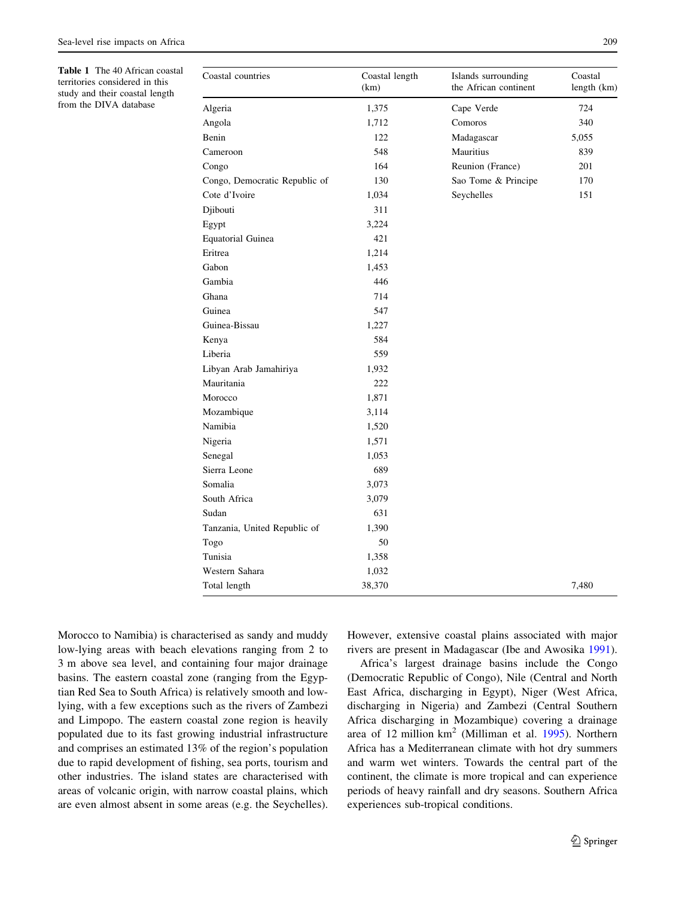Table 1 The 40 African coastal territories considered in this study and their coastal length from the DIVA database

| Coastal countries             | Coastal length<br>(km) | Islands surrounding<br>the African continent | Coastal<br>length (km) |  |
|-------------------------------|------------------------|----------------------------------------------|------------------------|--|
| Algeria                       | 1,375                  | Cape Verde                                   | 724                    |  |
| Angola                        | 1,712                  | Comoros                                      | 340                    |  |
| Benin                         | 122                    | Madagascar                                   | 5,055                  |  |
| Cameroon                      | 548                    | Mauritius                                    | 839                    |  |
| Congo                         | 164                    | Reunion (France)                             | 201                    |  |
| Congo, Democratic Republic of | 130                    | Sao Tome & Principe                          | 170                    |  |
| Cote d'Ivoire                 | 1,034                  | Seychelles                                   | 151                    |  |
| Djibouti                      | 311                    |                                              |                        |  |
| Egypt                         | 3,224                  |                                              |                        |  |
| <b>Equatorial Guinea</b>      | 421                    |                                              |                        |  |
| Eritrea                       | 1,214                  |                                              |                        |  |
| Gabon                         | 1,453                  |                                              |                        |  |
| Gambia                        | 446                    |                                              |                        |  |
| Ghana                         | 714                    |                                              |                        |  |
| Guinea                        | 547                    |                                              |                        |  |
| Guinea-Bissau                 | 1,227                  |                                              |                        |  |
| Kenya                         | 584                    |                                              |                        |  |
| Liberia                       | 559                    |                                              |                        |  |
| Libyan Arab Jamahiriya        | 1,932                  |                                              |                        |  |
| Mauritania                    | 222                    |                                              |                        |  |
| Morocco                       | 1,871                  |                                              |                        |  |
| Mozambique                    | 3,114                  |                                              |                        |  |
| Namibia                       | 1,520                  |                                              |                        |  |
| Nigeria                       | 1,571                  |                                              |                        |  |
| Senegal                       | 1,053                  |                                              |                        |  |
| Sierra Leone                  | 689                    |                                              |                        |  |
| Somalia                       | 3,073                  |                                              |                        |  |
| South Africa                  | 3,079                  |                                              |                        |  |
| Sudan                         | 631                    |                                              |                        |  |
| Tanzania, United Republic of  | 1,390                  |                                              |                        |  |
| Togo                          | 50                     |                                              |                        |  |
| Tunisia                       | 1,358                  |                                              |                        |  |
| Western Sahara                | 1,032                  |                                              |                        |  |
| Total length                  | 38,370                 |                                              | 7,480                  |  |

<span id="page-2-0"></span>Morocco to Namibia) is characterised as sandy and muddy low-lying areas with beach elevations ranging from 2 to 3 m above sea level, and containing four major drainage basins. The eastern coastal zone (ranging from the Egyptian Red Sea to South Africa) is relatively smooth and lowlying, with a few exceptions such as the rivers of Zambezi and Limpopo. The eastern coastal zone region is heavily populated due to its fast growing industrial infrastructure and comprises an estimated 13% of the region's population due to rapid development of fishing, sea ports, tourism and other industries. The island states are characterised with areas of volcanic origin, with narrow coastal plains, which are even almost absent in some areas (e.g. the Seychelles). However, extensive coastal plains associated with major rivers are present in Madagascar (Ibe and Awosika [1991](#page-15-0)).

Africa's largest drainage basins include the Congo (Democratic Republic of Congo), Nile (Central and North East Africa, discharging in Egypt), Niger (West Africa, discharging in Nigeria) and Zambezi (Central Southern Africa discharging in Mozambique) covering a drainage area of 12 million  $km^2$  (Milliman et al. [1995\)](#page-16-0). Northern Africa has a Mediterranean climate with hot dry summers and warm wet winters. Towards the central part of the continent, the climate is more tropical and can experience periods of heavy rainfall and dry seasons. Southern Africa experiences sub-tropical conditions.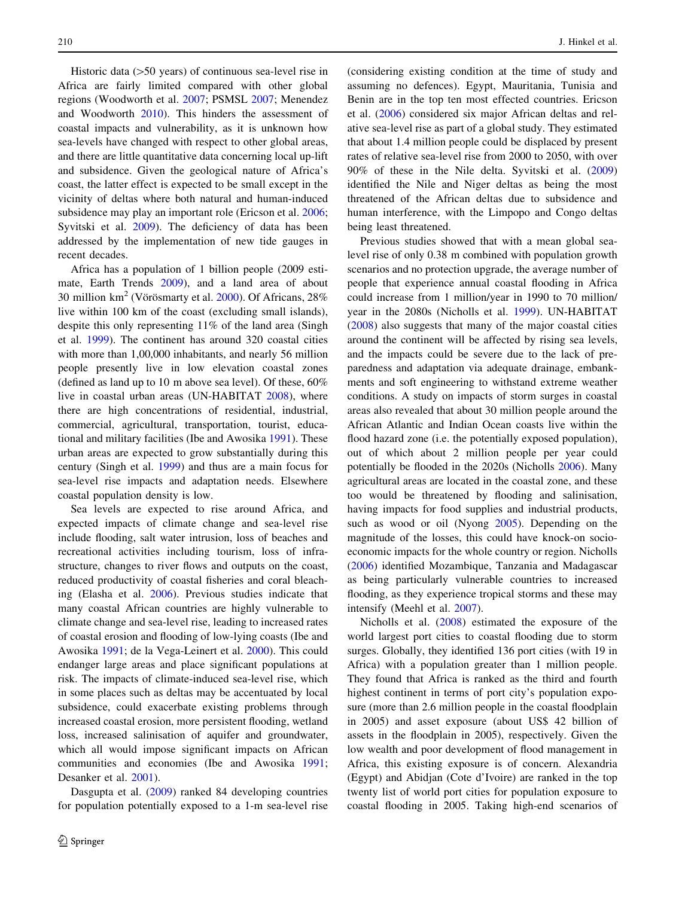Historic data  $(>50$  years) of continuous sea-level rise in Africa are fairly limited compared with other global regions (Woodworth et al. [2007](#page-17-0); PSMSL [2007;](#page-16-0) Menendez and Woodworth [2010](#page-16-0)). This hinders the assessment of coastal impacts and vulnerability, as it is unknown how sea-levels have changed with respect to other global areas, and there are little quantitative data concerning local up-lift and subsidence. Given the geological nature of Africa's coast, the latter effect is expected to be small except in the vicinity of deltas where both natural and human-induced subsidence may play an important role (Ericson et al. [2006](#page-15-0); Syvitski et al. [2009\)](#page-16-0). The deficiency of data has been addressed by the implementation of new tide gauges in recent decades.

Africa has a population of 1 billion people (2009 estimate, Earth Trends [2009\)](#page-15-0), and a land area of about 30 million  $km^2$  (Vörösmarty et al. [2000\)](#page-17-0). Of Africans, 28% live within 100 km of the coast (excluding small islands), despite this only representing 11% of the land area (Singh et al. [1999](#page-16-0)). The continent has around 320 coastal cities with more than 1,00,000 inhabitants, and nearly 56 million people presently live in low elevation coastal zones (defined as land up to 10 m above sea level). Of these, 60% live in coastal urban areas (UN-HABITAT [2008\)](#page-16-0), where there are high concentrations of residential, industrial, commercial, agricultural, transportation, tourist, educational and military facilities (Ibe and Awosika [1991](#page-15-0)). These urban areas are expected to grow substantially during this century (Singh et al. [1999](#page-16-0)) and thus are a main focus for sea-level rise impacts and adaptation needs. Elsewhere coastal population density is low.

Sea levels are expected to rise around Africa, and expected impacts of climate change and sea-level rise include flooding, salt water intrusion, loss of beaches and recreational activities including tourism, loss of infrastructure, changes to river flows and outputs on the coast, reduced productivity of coastal fisheries and coral bleaching (Elasha et al. [2006](#page-15-0)). Previous studies indicate that many coastal African countries are highly vulnerable to climate change and sea-level rise, leading to increased rates of coastal erosion and flooding of low-lying coasts (Ibe and Awosika [1991](#page-15-0); de la Vega-Leinert et al. [2000](#page-15-0)). This could endanger large areas and place significant populations at risk. The impacts of climate-induced sea-level rise, which in some places such as deltas may be accentuated by local subsidence, could exacerbate existing problems through increased coastal erosion, more persistent flooding, wetland loss, increased salinisation of aquifer and groundwater, which all would impose significant impacts on African communities and economies (Ibe and Awosika [1991](#page-15-0); Desanker et al. [2001\)](#page-15-0).

Dasgupta et al. [\(2009\)](#page-15-0) ranked 84 developing countries for population potentially exposed to a 1-m sea-level rise (considering existing condition at the time of study and assuming no defences). Egypt, Mauritania, Tunisia and Benin are in the top ten most effected countries. Ericson et al. [\(2006\)](#page-15-0) considered six major African deltas and relative sea-level rise as part of a global study. They estimated that about 1.4 million people could be displaced by present rates of relative sea-level rise from 2000 to 2050, with over 90% of these in the Nile delta. Syvitski et al. ([2009\)](#page-16-0) identified the Nile and Niger deltas as being the most threatened of the African deltas due to subsidence and human interference, with the Limpopo and Congo deltas being least threatened.

Previous studies showed that with a mean global sealevel rise of only 0.38 m combined with population growth scenarios and no protection upgrade, the average number of people that experience annual coastal flooding in Africa could increase from 1 million/year in 1990 to 70 million/ year in the 2080s (Nicholls et al. [1999\)](#page-16-0). UN-HABITAT [\(2008](#page-16-0)) also suggests that many of the major coastal cities around the continent will be affected by rising sea levels, and the impacts could be severe due to the lack of preparedness and adaptation via adequate drainage, embankments and soft engineering to withstand extreme weather conditions. A study on impacts of storm surges in coastal areas also revealed that about 30 million people around the African Atlantic and Indian Ocean coasts live within the flood hazard zone (i.e. the potentially exposed population), out of which about 2 million people per year could potentially be flooded in the 2020s (Nicholls [2006\)](#page-16-0). Many agricultural areas are located in the coastal zone, and these too would be threatened by flooding and salinisation, having impacts for food supplies and industrial products, such as wood or oil (Nyong [2005](#page-16-0)). Depending on the magnitude of the losses, this could have knock-on socioeconomic impacts for the whole country or region. Nicholls [\(2006](#page-16-0)) identified Mozambique, Tanzania and Madagascar as being particularly vulnerable countries to increased flooding, as they experience tropical storms and these may intensify (Meehl et al. [2007](#page-16-0)).

Nicholls et al. [\(2008](#page-16-0)) estimated the exposure of the world largest port cities to coastal flooding due to storm surges. Globally, they identified 136 port cities (with 19 in Africa) with a population greater than 1 million people. They found that Africa is ranked as the third and fourth highest continent in terms of port city's population exposure (more than 2.6 million people in the coastal floodplain in 2005) and asset exposure (about US\$ 42 billion of assets in the floodplain in 2005), respectively. Given the low wealth and poor development of flood management in Africa, this existing exposure is of concern. Alexandria (Egypt) and Abidjan (Cote d'Ivoire) are ranked in the top twenty list of world port cities for population exposure to coastal flooding in 2005. Taking high-end scenarios of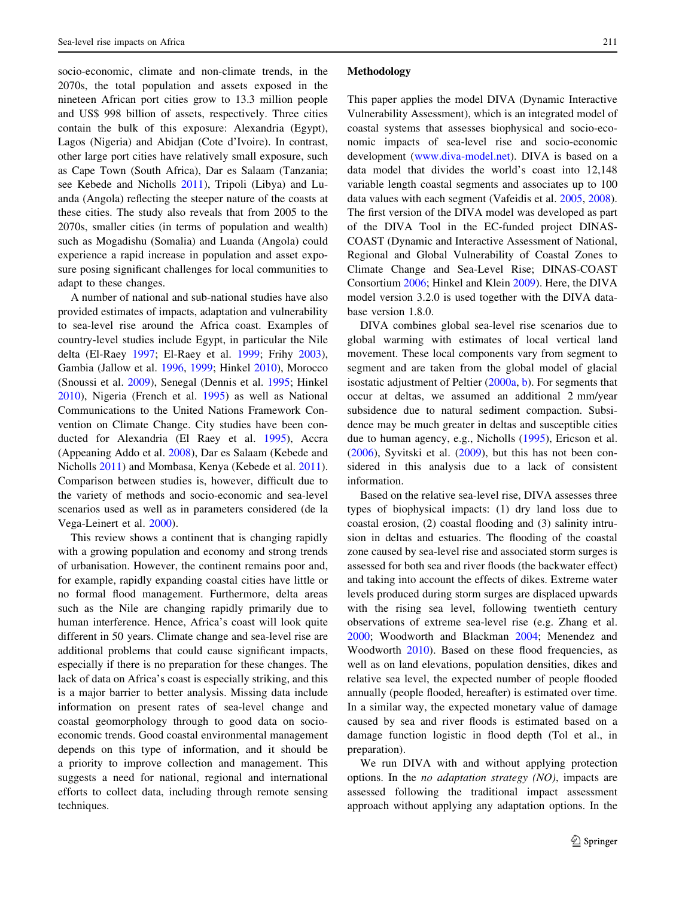socio-economic, climate and non-climate trends, in the 2070s, the total population and assets exposed in the nineteen African port cities grow to 13.3 million people and US\$ 998 billion of assets, respectively. Three cities contain the bulk of this exposure: Alexandria (Egypt), Lagos (Nigeria) and Abidjan (Cote d'Ivoire). In contrast, other large port cities have relatively small exposure, such as Cape Town (South Africa), Dar es Salaam (Tanzania; see Kebede and Nicholls [2011\)](#page-16-0), Tripoli (Libya) and Luanda (Angola) reflecting the steeper nature of the coasts at these cities. The study also reveals that from 2005 to the 2070s, smaller cities (in terms of population and wealth) such as Mogadishu (Somalia) and Luanda (Angola) could experience a rapid increase in population and asset exposure posing significant challenges for local communities to adapt to these changes.

A number of national and sub-national studies have also provided estimates of impacts, adaptation and vulnerability to sea-level rise around the Africa coast. Examples of country-level studies include Egypt, in particular the Nile delta (El-Raey [1997;](#page-15-0) El-Raey et al. [1999](#page-15-0); Frihy [2003](#page-15-0)), Gambia (Jallow et al. [1996,](#page-16-0) [1999;](#page-16-0) Hinkel [2010](#page-15-0)), Morocco (Snoussi et al. [2009\)](#page-16-0), Senegal (Dennis et al. [1995;](#page-15-0) Hinkel [2010\)](#page-15-0), Nigeria (French et al. [1995\)](#page-15-0) as well as National Communications to the United Nations Framework Convention on Climate Change. City studies have been conducted for Alexandria (El Raey et al. [1995](#page-15-0)), Accra (Appeaning Addo et al. [2008](#page-15-0)), Dar es Salaam (Kebede and Nicholls [2011\)](#page-16-0) and Mombasa, Kenya (Kebede et al. [2011](#page-16-0)). Comparison between studies is, however, difficult due to the variety of methods and socio-economic and sea-level scenarios used as well as in parameters considered (de la Vega-Leinert et al. [2000](#page-15-0)).

<span id="page-4-0"></span>This review shows a continent that is changing rapidly with a growing population and economy and strong trends of urbanisation. However, the continent remains poor and, for example, rapidly expanding coastal cities have little or no formal flood management. Furthermore, delta areas such as the Nile are changing rapidly primarily due to human interference. Hence, Africa's coast will look quite different in 50 years. Climate change and sea-level rise are additional problems that could cause significant impacts, especially if there is no preparation for these changes. The lack of data on Africa's coast is especially striking, and this is a major barrier to better analysis. Missing data include information on present rates of sea-level change and coastal geomorphology through to good data on socioeconomic trends. Good coastal environmental management depends on this type of information, and it should be a priority to improve collection and management. This suggests a need for national, regional and international efforts to collect data, including through remote sensing techniques.

#### Methodology

This paper applies the model DIVA (Dynamic Interactive Vulnerability Assessment), which is an integrated model of coastal systems that assesses biophysical and socio-economic impacts of sea-level rise and socio-economic development [\(www.diva-model.net\)](http://www.diva-model.net). DIVA is based on a data model that divides the world's coast into 12,148 variable length coastal segments and associates up to 100 data values with each segment (Vafeidis et al. [2005](#page-17-0), [2008](#page-17-0)). The first version of the DIVA model was developed as part of the DIVA Tool in the EC-funded project DINAS-COAST (Dynamic and Interactive Assessment of National, Regional and Global Vulnerability of Coastal Zones to Climate Change and Sea-Level Rise; DINAS-COAST Consortium [2006;](#page-15-0) Hinkel and Klein [2009](#page-15-0)). Here, the DIVA model version 3.2.0 is used together with the DIVA database version 1.8.0.

DIVA combines global sea-level rise scenarios due to global warming with estimates of local vertical land movement. These local components vary from segment to segment and are taken from the global model of glacial isostatic adjustment of Peltier ([2000a](#page-16-0), [b\)](#page-16-0). For segments that occur at deltas, we assumed an additional 2 mm/year subsidence due to natural sediment compaction. Subsidence may be much greater in deltas and susceptible cities due to human agency, e.g., Nicholls ([1995\)](#page-16-0), Ericson et al. [\(2006](#page-15-0)), Syvitski et al. [\(2009](#page-16-0)), but this has not been considered in this analysis due to a lack of consistent information.

Based on the relative sea-level rise, DIVA assesses three types of biophysical impacts: (1) dry land loss due to coastal erosion, (2) coastal flooding and (3) salinity intrusion in deltas and estuaries. The flooding of the coastal zone caused by sea-level rise and associated storm surges is assessed for both sea and river floods (the backwater effect) and taking into account the effects of dikes. Extreme water levels produced during storm surges are displaced upwards with the rising sea level, following twentieth century observations of extreme sea-level rise (e.g. Zhang et al. [2000](#page-17-0); Woodworth and Blackman [2004](#page-17-0); Menendez and Woodworth [2010](#page-16-0)). Based on these flood frequencies, as well as on land elevations, population densities, dikes and relative sea level, the expected number of people flooded annually (people flooded, hereafter) is estimated over time. In a similar way, the expected monetary value of damage caused by sea and river floods is estimated based on a damage function logistic in flood depth (Tol et al., in preparation).

We run DIVA with and without applying protection options. In the no adaptation strategy (NO), impacts are assessed following the traditional impact assessment approach without applying any adaptation options. In the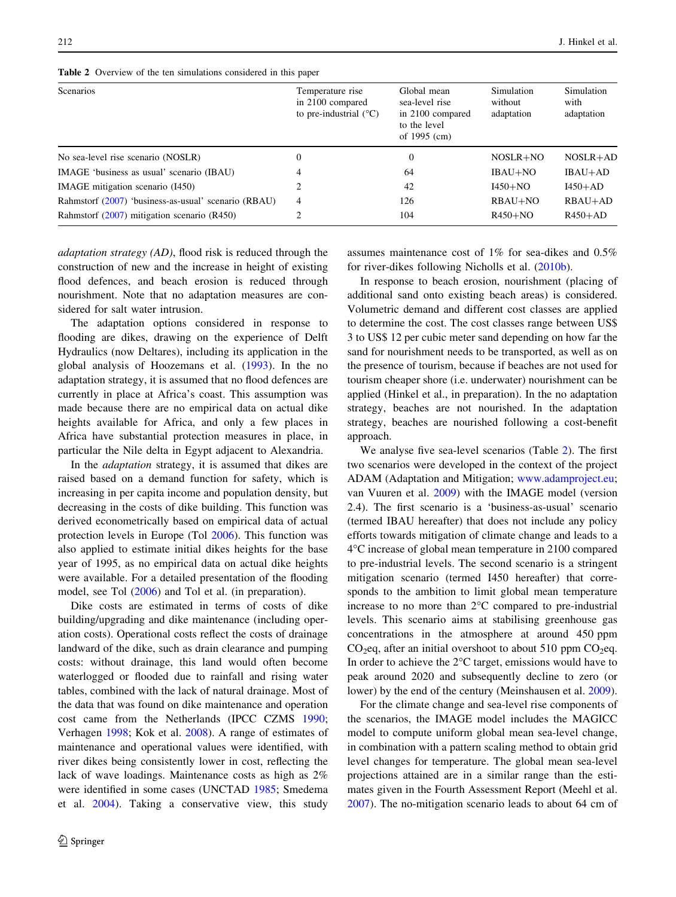| Table 2 Overview of the ten simulations considered in this paper |  |  |  |  |  |  |
|------------------------------------------------------------------|--|--|--|--|--|--|
|------------------------------------------------------------------|--|--|--|--|--|--|

| <b>Scenarios</b>                                     | Temperature rise<br>in 2100 compared<br>to pre-industrial $(^{\circ}C)$ | Global mean<br>sea-level rise<br>in 2100 compared<br>to the level<br>of $1995$ (cm) | Simulation<br>without<br>adaptation | Simulation<br>with<br>adaptation |
|------------------------------------------------------|-------------------------------------------------------------------------|-------------------------------------------------------------------------------------|-------------------------------------|----------------------------------|
| No sea-level rise scenario (NOSLR)                   | 0                                                                       | $\theta$                                                                            | $NOSLR+NO$                          | $NOSLR+AD$                       |
| IMAGE 'business as usual' scenario (IBAU)            | 4                                                                       | 64                                                                                  | $IBAU+NO$                           | $IBAU+AD$                        |
| IMAGE mitigation scenario (I450)                     |                                                                         | 42                                                                                  | $I450 + NO$                         | $I450+AD$                        |
| Rahmstorf (2007) 'business-as-usual' scenario (RBAU) | 4                                                                       | 126                                                                                 | $RBAU+NO$                           | $RBAU+AD$                        |
| Rahmstorf (2007) mitigation scenario (R450)          | 2                                                                       | 104                                                                                 | $R450+NO$                           | $R450+AD$                        |
|                                                      |                                                                         |                                                                                     |                                     |                                  |

adaptation strategy (AD), flood risk is reduced through the construction of new and the increase in height of existing flood defences, and beach erosion is reduced through nourishment. Note that no adaptation measures are considered for salt water intrusion.

The adaptation options considered in response to flooding are dikes, drawing on the experience of Delft Hydraulics (now Deltares), including its application in the global analysis of Hoozemans et al. ([1993\)](#page-15-0). In the no adaptation strategy, it is assumed that no flood defences are currently in place at Africa's coast. This assumption was made because there are no empirical data on actual dike heights available for Africa, and only a few places in Africa have substantial protection measures in place, in particular the Nile delta in Egypt adjacent to Alexandria.

In the adaptation strategy, it is assumed that dikes are raised based on a demand function for safety, which is increasing in per capita income and population density, but decreasing in the costs of dike building. This function was derived econometrically based on empirical data of actual protection levels in Europe (Tol [2006](#page-16-0)). This function was also applied to estimate initial dikes heights for the base year of 1995, as no empirical data on actual dike heights were available. For a detailed presentation of the flooding model, see Tol ([2006\)](#page-16-0) and Tol et al. (in preparation).

<span id="page-5-0"></span>Dike costs are estimated in terms of costs of dike building/upgrading and dike maintenance (including operation costs). Operational costs reflect the costs of drainage landward of the dike, such as drain clearance and pumping costs: without drainage, this land would often become waterlogged or flooded due to rainfall and rising water tables, combined with the lack of natural drainage. Most of the data that was found on dike maintenance and operation cost came from the Netherlands (IPCC CZMS [1990](#page-15-0); Verhagen [1998](#page-17-0); Kok et al. [2008](#page-16-0)). A range of estimates of maintenance and operational values were identified, with river dikes being consistently lower in cost, reflecting the lack of wave loadings. Maintenance costs as high as 2% were identified in some cases (UNCTAD [1985](#page-16-0); Smedema et al. [2004](#page-16-0)). Taking a conservative view, this study

assumes maintenance cost of 1% for sea-dikes and 0.5% for river-dikes following Nicholls et al. [\(2010b](#page-16-0)).

In response to beach erosion, nourishment (placing of additional sand onto existing beach areas) is considered. Volumetric demand and different cost classes are applied to determine the cost. The cost classes range between US\$ 3 to US\$ 12 per cubic meter sand depending on how far the sand for nourishment needs to be transported, as well as on the presence of tourism, because if beaches are not used for tourism cheaper shore (i.e. underwater) nourishment can be applied (Hinkel et al., in preparation). In the no adaptation strategy, beaches are not nourished. In the adaptation strategy, beaches are nourished following a cost-benefit approach.

We analyse five sea-level scenarios (Table [2\)](#page-5-0). The first two scenarios were developed in the context of the project ADAM (Adaptation and Mitigation; [www.adamproject.eu](http://www.adamproject.eu); van Vuuren et al. [2009](#page-17-0)) with the IMAGE model (version 2.4). The first scenario is a 'business-as-usual' scenario (termed IBAU hereafter) that does not include any policy efforts towards mitigation of climate change and leads to a 4"C increase of global mean temperature in 2100 compared to pre-industrial levels. The second scenario is a stringent mitigation scenario (termed I450 hereafter) that corresponds to the ambition to limit global mean temperature increase to no more than 2"C compared to pre-industrial levels. This scenario aims at stabilising greenhouse gas concentrations in the atmosphere at around 450 ppm  $CO<sub>2</sub>$ eq, after an initial overshoot to about 510 ppm  $CO<sub>2</sub>$ eq. In order to achieve the 2"C target, emissions would have to peak around 2020 and subsequently decline to zero (or lower) by the end of the century (Meinshausen et al. [2009](#page-16-0)).

For the climate change and sea-level rise components of the scenarios, the IMAGE model includes the MAGICC model to compute uniform global mean sea-level change, in combination with a pattern scaling method to obtain grid level changes for temperature. The global mean sea-level projections attained are in a similar range than the estimates given in the Fourth Assessment Report (Meehl et al. [2007](#page-16-0)). The no-mitigation scenario leads to about 64 cm of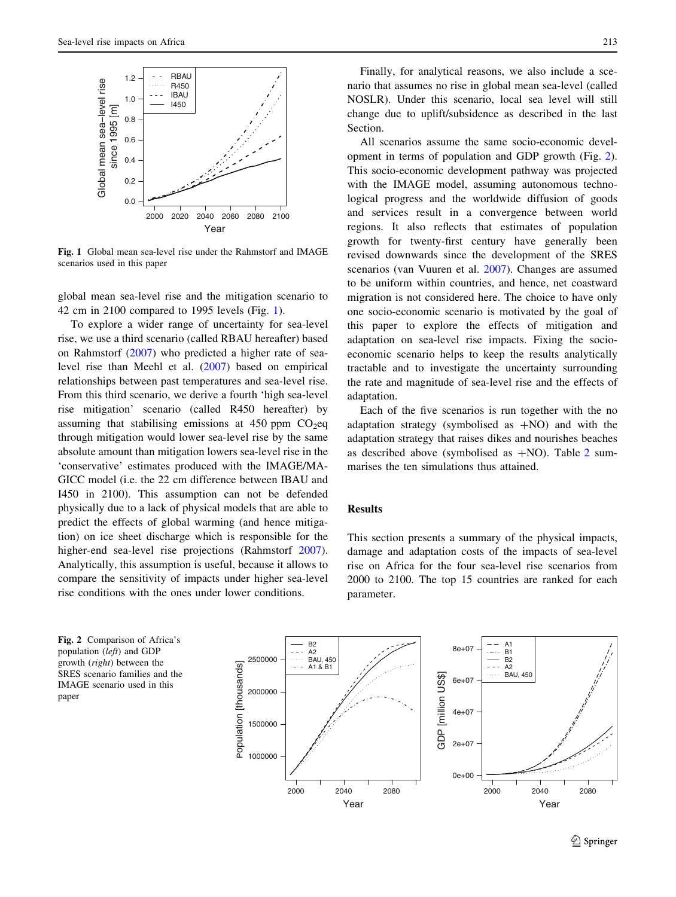

Fig. 1 Global mean sea-level rise under the Rahmstorf and IMAGE scenarios used in this paper

global mean sea-level rise and the mitigation scenario to 42 cm in 2100 compared to 1995 levels (Fig. [1\)](#page-6-0).

To explore a wider range of uncertainty for sea-level rise, we use a third scenario (called RBAU hereafter) based on Rahmstorf [\(2007](#page-16-0)) who predicted a higher rate of sealevel rise than Meehl et al. [\(2007](#page-16-0)) based on empirical relationships between past temperatures and sea-level rise. From this third scenario, we derive a fourth 'high sea-level rise mitigation' scenario (called R450 hereafter) by assuming that stabilising emissions at  $450$  ppm  $CO<sub>2</sub>$ eq through mitigation would lower sea-level rise by the same absolute amount than mitigation lowers sea-level rise in the 'conservative' estimates produced with the IMAGE/MA-GICC model (i.e. the 22 cm difference between IBAU and I450 in 2100). This assumption can not be defended physically due to a lack of physical models that are able to predict the effects of global warming (and hence mitigation) on ice sheet discharge which is responsible for the higher-end sea-level rise projections (Rahmstorf [2007](#page-16-0)). Analytically, this assumption is useful, because it allows to compare the sensitivity of impacts under higher sea-level rise conditions with the ones under lower conditions.

Finally, for analytical reasons, we also include a scenario that assumes no rise in global mean sea-level (called NOSLR). Under this scenario, local sea level will still change due to uplift/subsidence as described in the last Section.

All scenarios assume the same socio-economic development in terms of population and GDP growth (Fig. [2](#page-6-0)). This socio-economic development pathway was projected with the IMAGE model, assuming autonomous technological progress and the worldwide diffusion of goods and services result in a convergence between world regions. It also reflects that estimates of population growth for twenty-first century have generally been revised downwards since the development of the SRES scenarios (van Vuuren et al. [2007](#page-17-0)). Changes are assumed to be uniform within countries, and hence, net coastward migration is not considered here. The choice to have only one socio-economic scenario is motivated by the goal of this paper to explore the effects of mitigation and adaptation on sea-level rise impacts. Fixing the socioeconomic scenario helps to keep the results analytically tractable and to investigate the uncertainty surrounding the rate and magnitude of sea-level rise and the effects of adaptation.

Each of the five scenarios is run together with the no adaptation strategy (symbolised as  $+NO$ ) and with the adaptation strategy that raises dikes and nourishes beaches as described above (symbolised as  $+NO$ ). Table [2](#page-5-0) summarises the ten simulations thus attained.

# Results

This section presents a summary of the physical impacts, damage and adaptation costs of the impacts of sea-level rise on Africa for the four sea-level rise scenarios from 2000 to 2100. The top 15 countries are ranked for each parameter.

<span id="page-6-0"></span>

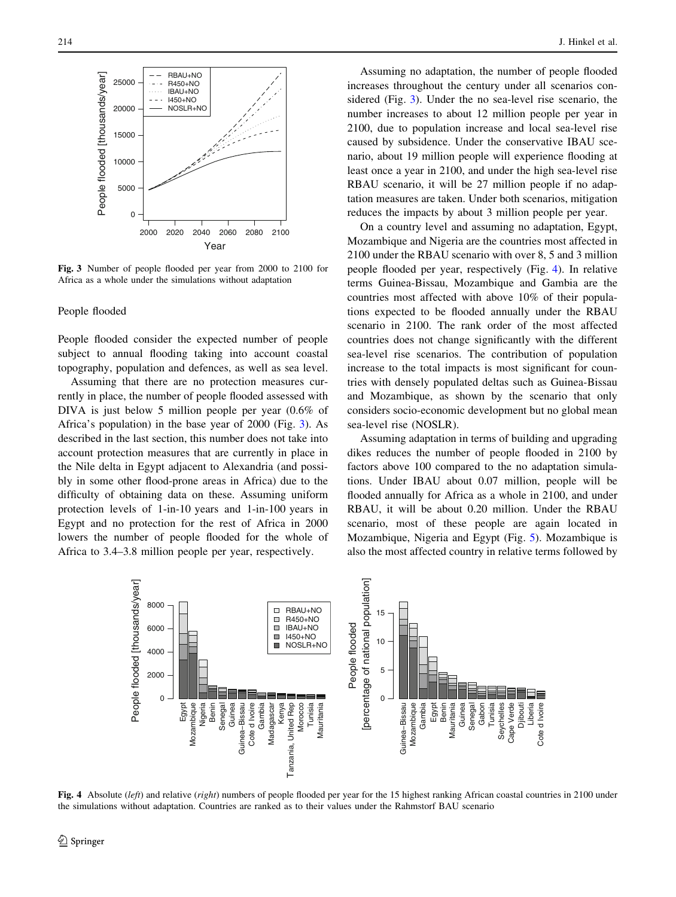

Fig. 3 Number of people flooded per year from 2000 to 2100 for Africa as a whole under the simulations without adaptation

### People flooded

People flooded consider the expected number of people subject to annual flooding taking into account coastal topography, population and defences, as well as sea level.

Assuming that there are no protection measures currently in place, the number of people flooded assessed with DIVA is just below 5 million people per year (0.6% of Africa's population) in the base year of 2000 (Fig. [3\)](#page-7-0). As described in the last section, this number does not take into account protection measures that are currently in place in the Nile delta in Egypt adjacent to Alexandria (and possibly in some other flood-prone areas in Africa) due to the difficulty of obtaining data on these. Assuming uniform protection levels of 1-in-10 years and 1-in-100 years in Egypt and no protection for the rest of Africa in 2000 lowers the number of people flooded for the whole of Africa to 3.4–3.8 million people per year, respectively.

Assuming no adaptation, the number of people flooded increases throughout the century under all scenarios considered (Fig. [3](#page-7-0)). Under the no sea-level rise scenario, the number increases to about 12 million people per year in 2100, due to population increase and local sea-level rise caused by subsidence. Under the conservative IBAU scenario, about 19 million people will experience flooding at least once a year in 2100, and under the high sea-level rise RBAU scenario, it will be 27 million people if no adaptation measures are taken. Under both scenarios, mitigation reduces the impacts by about 3 million people per year.

On a country level and assuming no adaptation, Egypt, Mozambique and Nigeria are the countries most affected in 2100 under the RBAU scenario with over 8, 5 and 3 million people flooded per year, respectively (Fig. [4\)](#page-7-0). In relative terms Guinea-Bissau, Mozambique and Gambia are the countries most affected with above 10% of their populations expected to be flooded annually under the RBAU scenario in 2100. The rank order of the most affected countries does not change significantly with the different sea-level rise scenarios. The contribution of population increase to the total impacts is most significant for countries with densely populated deltas such as Guinea-Bissau and Mozambique, as shown by the scenario that only considers socio-economic development but no global mean sea-level rise (NOSLR).

Assuming adaptation in terms of building and upgrading dikes reduces the number of people flooded in 2100 by factors above 100 compared to the no adaptation simulations. Under IBAU about 0.07 million, people will be flooded annually for Africa as a whole in 2100, and under RBAU, it will be about 0.20 million. Under the RBAU scenario, most of these people are again located in Mozambique, Nigeria and Egypt (Fig. [5\)](#page-8-0). Mozambique is also the most affected country in relative terms followed by



<span id="page-7-0"></span>Fig. 4 Absolute (left) and relative (right) numbers of people flooded per year for the 15 highest ranking African coastal countries in 2100 under the simulations without adaptation. Countries are ranked as to their values under the Rahmstorf BAU scenario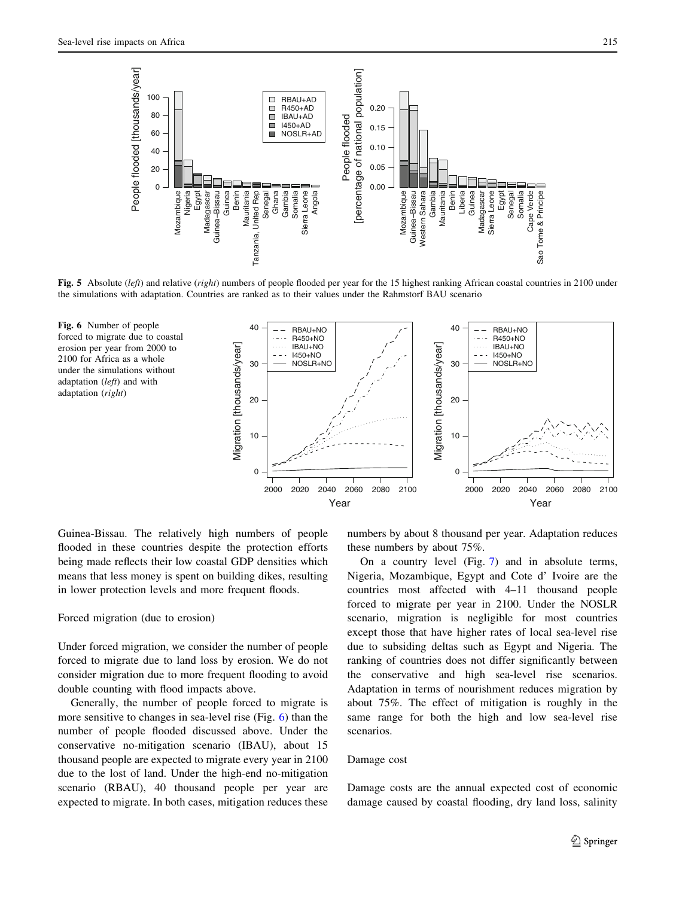

Fig. 5 Absolute (left) and relative (right) numbers of people flooded per year for the 15 highest ranking African coastal countries in 2100 under the simulations with adaptation. Countries are ranked as to their values under the Rahmstorf BAU scenario





Guinea-Bissau. The relatively high numbers of people flooded in these countries despite the protection efforts being made reflects their low coastal GDP densities which means that less money is spent on building dikes, resulting in lower protection levels and more frequent floods.

Forced migration (due to erosion)

Under forced migration, we consider the number of people forced to migrate due to land loss by erosion. We do not consider migration due to more frequent flooding to avoid double counting with flood impacts above.

<span id="page-8-0"></span>Generally, the number of people forced to migrate is more sensitive to changes in sea-level rise (Fig. [6\)](#page-8-0) than the number of people flooded discussed above. Under the conservative no-mitigation scenario (IBAU), about 15 thousand people are expected to migrate every year in 2100 due to the lost of land. Under the high-end no-mitigation scenario (RBAU), 40 thousand people per year are expected to migrate. In both cases, mitigation reduces these numbers by about 8 thousand per year. Adaptation reduces these numbers by about 75%.

On a country level (Fig. [7](#page-9-0)) and in absolute terms, Nigeria, Mozambique, Egypt and Cote d' Ivoire are the countries most affected with 4–11 thousand people forced to migrate per year in 2100. Under the NOSLR scenario, migration is negligible for most countries except those that have higher rates of local sea-level rise due to subsiding deltas such as Egypt and Nigeria. The ranking of countries does not differ significantly between the conservative and high sea-level rise scenarios. Adaptation in terms of nourishment reduces migration by about 75%. The effect of mitigation is roughly in the same range for both the high and low sea-level rise scenarios.

### Damage cost

Damage costs are the annual expected cost of economic damage caused by coastal flooding, dry land loss, salinity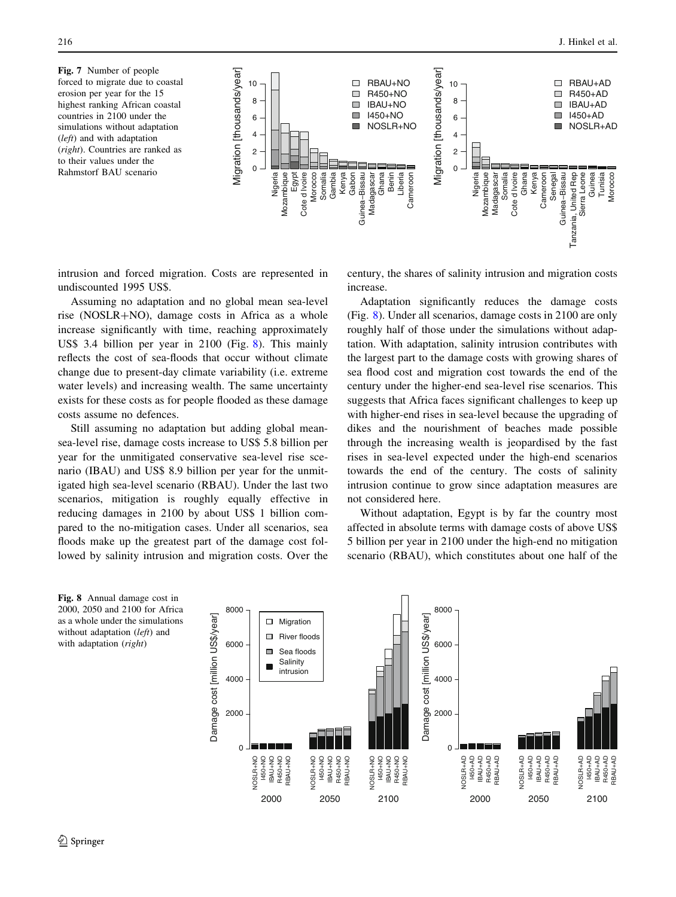Fig. 7 Number of people forced to migrate due to coastal erosion per year for the 15 highest ranking African coastal countries in 2100 under the simulations without adaptation (left) and with adaptation (right). Countries are ranked as to their values under the Rahmstorf BAU scenario



intrusion and forced migration. Costs are represented in undiscounted 1995 US\$.

Assuming no adaptation and no global mean sea-level rise (NOSLR $+$ NO), damage costs in Africa as a whole increase significantly with time, reaching approximately US\$ 3.4 billion per year in 2100 (Fig. [8\)](#page-9-0). This mainly reflects the cost of sea-floods that occur without climate change due to present-day climate variability (i.e. extreme water levels) and increasing wealth. The same uncertainty exists for these costs as for people flooded as these damage costs assume no defences.

Still assuming no adaptation but adding global meansea-level rise, damage costs increase to US\$ 5.8 billion per year for the unmitigated conservative sea-level rise scenario (IBAU) and US\$ 8.9 billion per year for the unmitigated high sea-level scenario (RBAU). Under the last two scenarios, mitigation is roughly equally effective in reducing damages in 2100 by about US\$ 1 billion compared to the no-mitigation cases. Under all scenarios, sea floods make up the greatest part of the damage cost followed by salinity intrusion and migration costs. Over the century, the shares of salinity intrusion and migration costs increase.

Adaptation significantly reduces the damage costs (Fig. [8\)](#page-9-0). Under all scenarios, damage costs in 2100 are only roughly half of those under the simulations without adaptation. With adaptation, salinity intrusion contributes with the largest part to the damage costs with growing shares of sea flood cost and migration cost towards the end of the century under the higher-end sea-level rise scenarios. This suggests that Africa faces significant challenges to keep up with higher-end rises in sea-level because the upgrading of dikes and the nourishment of beaches made possible through the increasing wealth is jeopardised by the fast rises in sea-level expected under the high-end scenarios towards the end of the century. The costs of salinity intrusion continue to grow since adaptation measures are not considered here.

Without adaptation, Egypt is by far the country most affected in absolute terms with damage costs of above US\$ 5 billion per year in 2100 under the high-end no mitigation scenario (RBAU), which constitutes about one half of the



<span id="page-9-0"></span>Fig. 8 Annual damage cost in 2000, 2050 and 2100 for Africa as a whole under the simulations without adaptation (left) and with adaptation (right)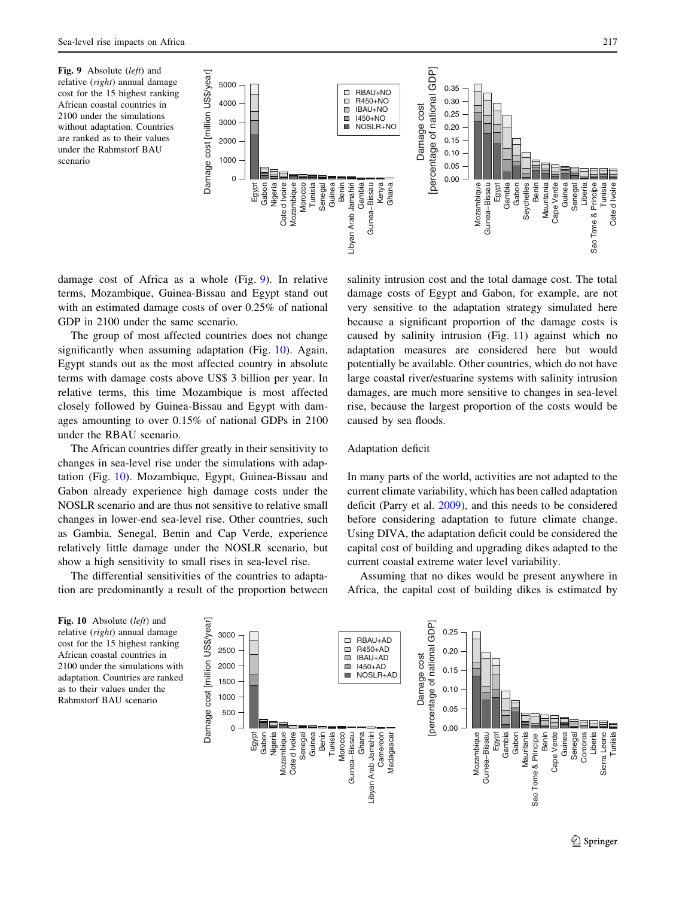Fig. 9 Absolute (left) and relative (right) annual damage cost for the 15 highest ranking African coastal countries in 2100 under the simulations without adaptation. Countries are ranked as to their values under the Rahmstorf BAU scenario



damage cost of Africa as a whole (Fig. [9](#page-10-0)). In relative terms, Mozambique, Guinea-Bissau and Egypt stand out with an estimated damage costs of over 0.25% of national GDP in 2100 under the same scenario.

The group of most affected countries does not change significantly when assuming adaptation (Fig. [10\)](#page-10-0). Again, Egypt stands out as the most affected country in absolute terms with damage costs above US\$ 3 billion per year. In relative terms, this time Mozambique is most affected closely followed by Guinea-Bissau and Egypt with damages amounting to over 0.15% of national GDPs in 2100 under the RBAU scenario.

The African countries differ greatly in their sensitivity to changes in sea-level rise under the simulations with adaptation (Fig. [10\)](#page-10-0). Mozambique, Egypt, Guinea-Bissau and Gabon already experience high damage costs under the NOSLR scenario and are thus not sensitive to relative small changes in lower-end sea-level rise. Other countries, such as Gambia, Senegal, Benin and Cap Verde, experience relatively little damage under the NOSLR scenario, but show a high sensitivity to small rises in sea-level rise.

The differential sensitivities of the countries to adaptation are predominantly a result of the proportion between salinity intrusion cost and the total damage cost. The total damage costs of Egypt and Gabon, for example, are not very sensitive to the adaptation strategy simulated here because a significant proportion of the damage costs is caused by salinity intrusion (Fig. [11](#page-11-0)) against which no adaptation measures are considered here but would potentially be available. Other countries, which do not have large coastal river/estuarine systems with salinity intrusion damages, are much more sensitive to changes in sea-level rise, because the largest proportion of the costs would be caused by sea floods.

#### Adaptation deficit

In many parts of the world, activities are not adapted to the current climate variability, which has been called adaptation deficit (Parry et al. [2009](#page-16-0)), and this needs to be considered before considering adaptation to future climate change. Using DIVA, the adaptation deficit could be considered the capital cost of building and upgrading dikes adapted to the current coastal extreme water level variability.

Assuming that no dikes would be present anywhere in Africa, the capital cost of building dikes is estimated by

<span id="page-10-0"></span>Fig. 10 Absolute (left) and relative (right) annual damage cost for the 15 highest ranking African coastal countries in 2100 under the simulations with adaptation. Countries are ranked as to their values under the Rahmstorf BAU scenario

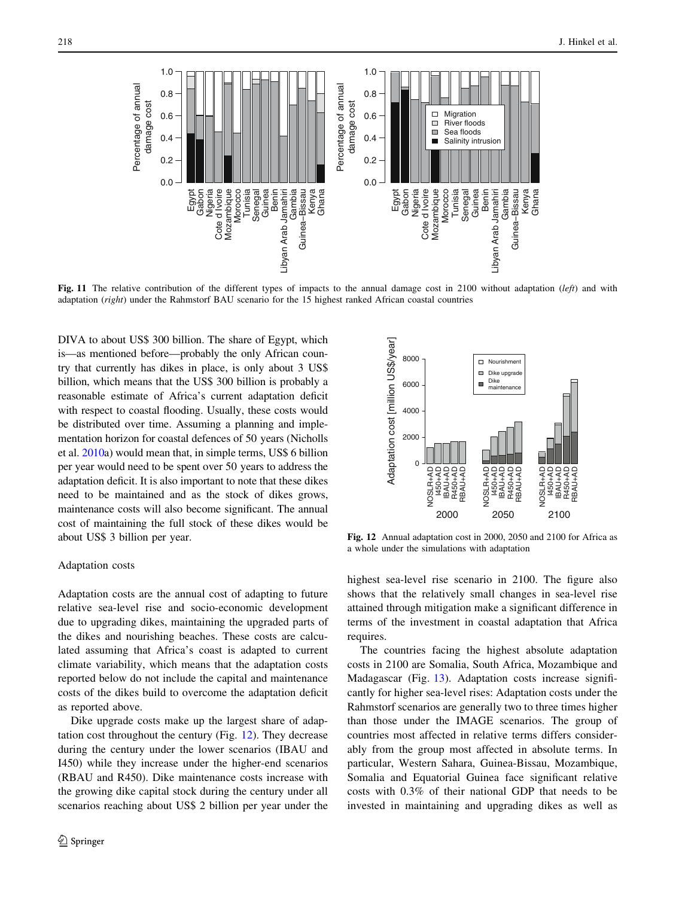

Fig. 11 The relative contribution of the different types of impacts to the annual damage cost in 2100 without adaptation (left) and with adaptation (right) under the Rahmstorf BAU scenario for the 15 highest ranked African coastal countries

DIVA to about US\$ 300 billion. The share of Egypt, which is—as mentioned before—probably the only African country that currently has dikes in place, is only about 3 US\$ billion, which means that the US\$ 300 billion is probably a reasonable estimate of Africa's current adaptation deficit with respect to coastal flooding. Usually, these costs would be distributed over time. Assuming a planning and implementation horizon for coastal defences of 50 years (Nicholls et al. [2010a](#page-16-0)) would mean that, in simple terms, US\$ 6 billion per year would need to be spent over 50 years to address the adaptation deficit. It is also important to note that these dikes need to be maintained and as the stock of dikes grows, maintenance costs will also become significant. The annual cost of maintaining the full stock of these dikes would be about US\$ 3 billion per year.

#### Adaptation costs

Adaptation costs are the annual cost of adapting to future relative sea-level rise and socio-economic development due to upgrading dikes, maintaining the upgraded parts of the dikes and nourishing beaches. These costs are calculated assuming that Africa's coast is adapted to current climate variability, which means that the adaptation costs reported below do not include the capital and maintenance costs of the dikes build to overcome the adaptation deficit as reported above.

<span id="page-11-0"></span>Dike upgrade costs make up the largest share of adaptation cost throughout the century (Fig. [12\)](#page-11-0). They decrease during the century under the lower scenarios (IBAU and I450) while they increase under the higher-end scenarios (RBAU and R450). Dike maintenance costs increase with the growing dike capital stock during the century under all scenarios reaching about US\$ 2 billion per year under the



Fig. 12 Annual adaptation cost in 2000, 2050 and 2100 for Africa as a whole under the simulations with adaptation

highest sea-level rise scenario in 2100. The figure also shows that the relatively small changes in sea-level rise attained through mitigation make a significant difference in terms of the investment in coastal adaptation that Africa requires.

The countries facing the highest absolute adaptation costs in 2100 are Somalia, South Africa, Mozambique and Madagascar (Fig. [13](#page-12-0)). Adaptation costs increase significantly for higher sea-level rises: Adaptation costs under the Rahmstorf scenarios are generally two to three times higher than those under the IMAGE scenarios. The group of countries most affected in relative terms differs considerably from the group most affected in absolute terms. In particular, Western Sahara, Guinea-Bissau, Mozambique, Somalia and Equatorial Guinea face significant relative costs with 0.3% of their national GDP that needs to be invested in maintaining and upgrading dikes as well as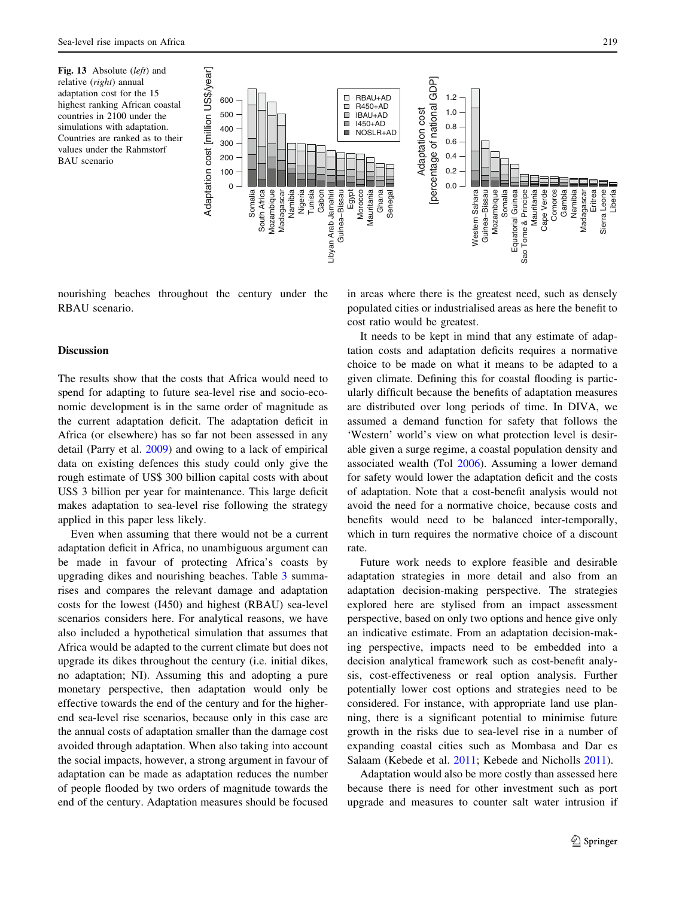Fig. 13 Absolute (left) and relative (right) annual adaptation cost for the 15 highest ranking African coastal countries in 2100 under the simulations with adaptation. Countries are ranked as to their values under the Rahmstorf **BAU** scenario



nourishing beaches throughout the century under the RBAU scenario.

# Discussion

The results show that the costs that Africa would need to spend for adapting to future sea-level rise and socio-economic development is in the same order of magnitude as the current adaptation deficit. The adaptation deficit in Africa (or elsewhere) has so far not been assessed in any detail (Parry et al. [2009](#page-16-0)) and owing to a lack of empirical data on existing defences this study could only give the rough estimate of US\$ 300 billion capital costs with about US\$ 3 billion per year for maintenance. This large deficit makes adaptation to sea-level rise following the strategy applied in this paper less likely.

Even when assuming that there would not be a current adaptation deficit in Africa, no unambiguous argument can be made in favour of protecting Africa's coasts by upgrading dikes and nourishing beaches. Table [3](#page-13-0) summarises and compares the relevant damage and adaptation costs for the lowest (I450) and highest (RBAU) sea-level scenarios considers here. For analytical reasons, we have also included a hypothetical simulation that assumes that Africa would be adapted to the current climate but does not upgrade its dikes throughout the century (i.e. initial dikes, no adaptation; NI). Assuming this and adopting a pure monetary perspective, then adaptation would only be effective towards the end of the century and for the higherend sea-level rise scenarios, because only in this case are the annual costs of adaptation smaller than the damage cost avoided through adaptation. When also taking into account the social impacts, however, a strong argument in favour of adaptation can be made as adaptation reduces the number of people flooded by two orders of magnitude towards the end of the century. Adaptation measures should be focused in areas where there is the greatest need, such as densely populated cities or industrialised areas as here the benefit to cost ratio would be greatest.

It needs to be kept in mind that any estimate of adaptation costs and adaptation deficits requires a normative choice to be made on what it means to be adapted to a given climate. Defining this for coastal flooding is particularly difficult because the benefits of adaptation measures are distributed over long periods of time. In DIVA, we assumed a demand function for safety that follows the 'Western' world's view on what protection level is desirable given a surge regime, a coastal population density and associated wealth (Tol [2006](#page-16-0)). Assuming a lower demand for safety would lower the adaptation deficit and the costs of adaptation. Note that a cost-benefit analysis would not avoid the need for a normative choice, because costs and benefits would need to be balanced inter-temporally, which in turn requires the normative choice of a discount rate.

Future work needs to explore feasible and desirable adaptation strategies in more detail and also from an adaptation decision-making perspective. The strategies explored here are stylised from an impact assessment perspective, based on only two options and hence give only an indicative estimate. From an adaptation decision-making perspective, impacts need to be embedded into a decision analytical framework such as cost-benefit analysis, cost-effectiveness or real option analysis. Further potentially lower cost options and strategies need to be considered. For instance, with appropriate land use planning, there is a significant potential to minimise future growth in the risks due to sea-level rise in a number of expanding coastal cities such as Mombasa and Dar es Salaam (Kebede et al. [2011;](#page-16-0) Kebede and Nicholls [2011\)](#page-16-0).

<span id="page-12-0"></span>Adaptation would also be more costly than assessed here because there is need for other investment such as port upgrade and measures to counter salt water intrusion if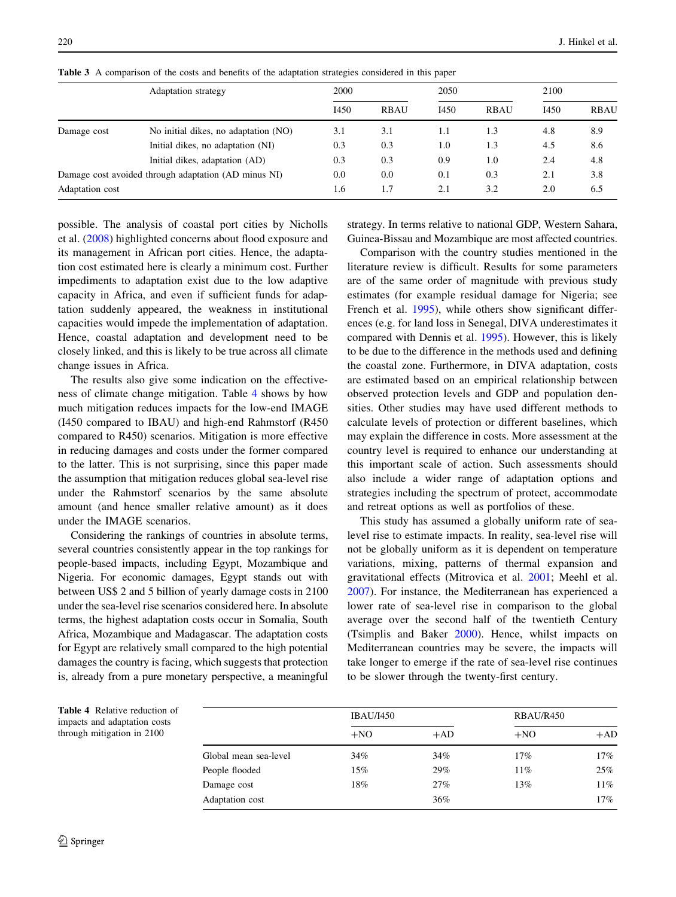|                 | Adaptation strategy                                  | 2000 |             | 2050 |             | 2100 |             |
|-----------------|------------------------------------------------------|------|-------------|------|-------------|------|-------------|
|                 |                                                      | I450 | <b>RBAU</b> | I450 | <b>RBAU</b> | I450 | <b>RBAU</b> |
| Damage cost     | No initial dikes, no adaptation (NO)                 | 3.1  | 3.1         | 1.1  | 1.3         | 4.8  | 8.9         |
|                 | Initial dikes, no adaptation (NI)                    | 0.3  | 0.3         | 1.0  | 1.3         | 4.5  | 8.6         |
|                 | Initial dikes, adaptation (AD)                       | 0.3  | 0.3         | 0.9  | 1.0         | 2.4  | 4.8         |
|                 | Damage cost avoided through adaptation (AD minus NI) | 0.0  | 0.0         | 0.1  | 0.3         | 2.1  | 3.8         |
| Adaptation cost |                                                      | 1.6  | 1.7         | 2.1  | 3.2         | 2.0  | 6.5         |

Table 3 A comparison of the costs and benefits of the adaptation strategies considered in this paper

possible. The analysis of coastal port cities by Nicholls et al. [\(2008](#page-16-0)) highlighted concerns about flood exposure and its management in African port cities. Hence, the adaptation cost estimated here is clearly a minimum cost. Further impediments to adaptation exist due to the low adaptive capacity in Africa, and even if sufficient funds for adaptation suddenly appeared, the weakness in institutional capacities would impede the implementation of adaptation. Hence, coastal adaptation and development need to be closely linked, and this is likely to be true across all climate change issues in Africa.

The results also give some indication on the effectiveness of climate change mitigation. Table [4](#page-13-0) shows by how much mitigation reduces impacts for the low-end IMAGE (I450 compared to IBAU) and high-end Rahmstorf (R450 compared to R450) scenarios. Mitigation is more effective in reducing damages and costs under the former compared to the latter. This is not surprising, since this paper made the assumption that mitigation reduces global sea-level rise under the Rahmstorf scenarios by the same absolute amount (and hence smaller relative amount) as it does under the IMAGE scenarios.

Considering the rankings of countries in absolute terms, several countries consistently appear in the top rankings for people-based impacts, including Egypt, Mozambique and Nigeria. For economic damages, Egypt stands out with between US\$ 2 and 5 billion of yearly damage costs in 2100 under the sea-level rise scenarios considered here. In absolute terms, the highest adaptation costs occur in Somalia, South Africa, Mozambique and Madagascar. The adaptation costs for Egypt are relatively small compared to the high potential damages the country is facing, which suggests that protection is, already from a pure monetary perspective, a meaningful strategy. In terms relative to national GDP, Western Sahara, Guinea-Bissau and Mozambique are most affected countries.

Comparison with the country studies mentioned in the literature review is difficult. Results for some parameters are of the same order of magnitude with previous study estimates (for example residual damage for Nigeria; see French et al. [1995](#page-15-0)), while others show significant differences (e.g. for land loss in Senegal, DIVA underestimates it compared with Dennis et al. [1995\)](#page-15-0). However, this is likely to be due to the difference in the methods used and defining the coastal zone. Furthermore, in DIVA adaptation, costs are estimated based on an empirical relationship between observed protection levels and GDP and population densities. Other studies may have used different methods to calculate levels of protection or different baselines, which may explain the difference in costs. More assessment at the country level is required to enhance our understanding at this important scale of action. Such assessments should also include a wider range of adaptation options and strategies including the spectrum of protect, accommodate and retreat options as well as portfolios of these.

This study has assumed a globally uniform rate of sealevel rise to estimate impacts. In reality, sea-level rise will not be globally uniform as it is dependent on temperature variations, mixing, patterns of thermal expansion and gravitational effects (Mitrovica et al. [2001;](#page-16-0) Meehl et al. [2007](#page-16-0)). For instance, the Mediterranean has experienced a lower rate of sea-level rise in comparison to the global average over the second half of the twentieth Century (Tsimplis and Baker [2000\)](#page-16-0). Hence, whilst impacts on Mediterranean countries may be severe, the impacts will take longer to emerge if the rate of sea-level rise continues to be slower through the twenty-first century.

<span id="page-13-0"></span>Table 4 Relative reduction of impacts and adaptation costs through mitigation in 2100

|                       | <b>IBAU/I450</b> |       | RBAU/R450 |        |
|-----------------------|------------------|-------|-----------|--------|
|                       | $+NO$            | $+AD$ | $+NO$     | $+AD$  |
| Global mean sea-level | 34%              | 34%   | 17%       | $17\%$ |
| People flooded        | 15%              | 29%   | 11%       | 25%    |
| Damage cost           | 18%              | 27%   | 13%       | $11\%$ |
| Adaptation cost       |                  | 36%   |           | 17%    |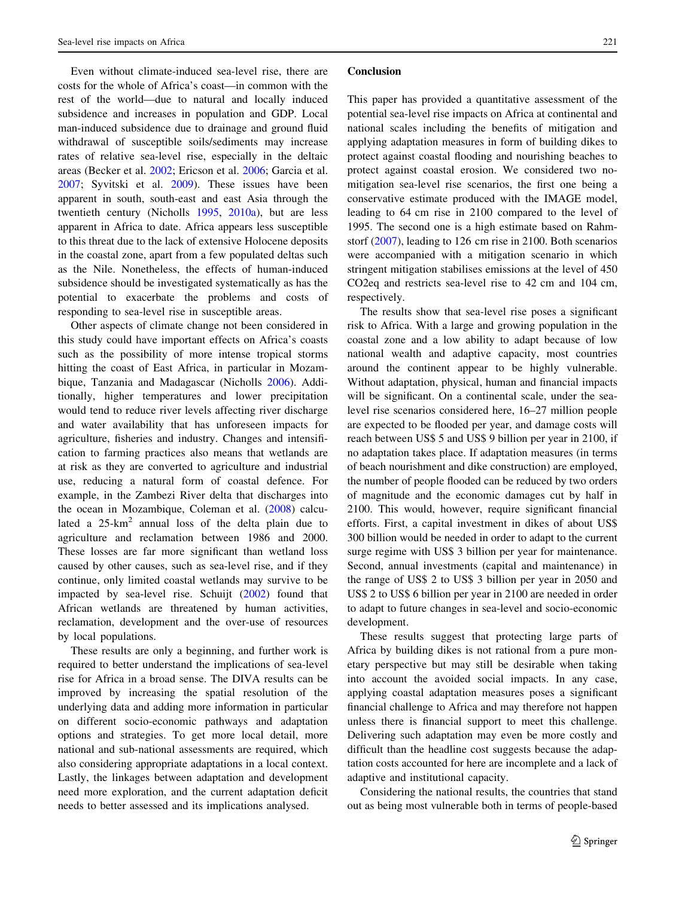Even without climate-induced sea-level rise, there are costs for the whole of Africa's coast—in common with the rest of the world—due to natural and locally induced subsidence and increases in population and GDP. Local man-induced subsidence due to drainage and ground fluid withdrawal of susceptible soils/sediments may increase rates of relative sea-level rise, especially in the deltaic areas (Becker et al. [2002;](#page-15-0) Ericson et al. [2006;](#page-15-0) Garcia et al. [2007;](#page-15-0) Syvitski et al. [2009\)](#page-16-0). These issues have been apparent in south, south-east and east Asia through the twentieth century (Nicholls [1995](#page-16-0), [2010a\)](#page-16-0), but are less apparent in Africa to date. Africa appears less susceptible to this threat due to the lack of extensive Holocene deposits in the coastal zone, apart from a few populated deltas such as the Nile. Nonetheless, the effects of human-induced subsidence should be investigated systematically as has the potential to exacerbate the problems and costs of responding to sea-level rise in susceptible areas.

Other aspects of climate change not been considered in this study could have important effects on Africa's coasts such as the possibility of more intense tropical storms hitting the coast of East Africa, in particular in Mozambique, Tanzania and Madagascar (Nicholls [2006](#page-16-0)). Additionally, higher temperatures and lower precipitation would tend to reduce river levels affecting river discharge and water availability that has unforeseen impacts for agriculture, fisheries and industry. Changes and intensification to farming practices also means that wetlands are at risk as they are converted to agriculture and industrial use, reducing a natural form of coastal defence. For example, in the Zambezi River delta that discharges into the ocean in Mozambique, Coleman et al. ([2008\)](#page-15-0) calculated a  $25 \text{-} \text{km}^2$  annual loss of the delta plain due to agriculture and reclamation between 1986 and 2000. These losses are far more significant than wetland loss caused by other causes, such as sea-level rise, and if they continue, only limited coastal wetlands may survive to be impacted by sea-level rise. Schuijt ([2002](#page-16-0)) found that African wetlands are threatened by human activities, reclamation, development and the over-use of resources by local populations.

<span id="page-14-0"></span>These results are only a beginning, and further work is required to better understand the implications of sea-level rise for Africa in a broad sense. The DIVA results can be improved by increasing the spatial resolution of the underlying data and adding more information in particular on different socio-economic pathways and adaptation options and strategies. To get more local detail, more national and sub-national assessments are required, which also considering appropriate adaptations in a local context. Lastly, the linkages between adaptation and development need more exploration, and the current adaptation deficit needs to better assessed and its implications analysed.

#### Conclusion

This paper has provided a quantitative assessment of the potential sea-level rise impacts on Africa at continental and national scales including the benefits of mitigation and applying adaptation measures in form of building dikes to protect against coastal flooding and nourishing beaches to protect against coastal erosion. We considered two nomitigation sea-level rise scenarios, the first one being a conservative estimate produced with the IMAGE model, leading to 64 cm rise in 2100 compared to the level of 1995. The second one is a high estimate based on Rahmstorf [\(2007](#page-16-0)), leading to 126 cm rise in 2100. Both scenarios were accompanied with a mitigation scenario in which stringent mitigation stabilises emissions at the level of 450 CO2eq and restricts sea-level rise to 42 cm and 104 cm, respectively.

The results show that sea-level rise poses a significant risk to Africa. With a large and growing population in the coastal zone and a low ability to adapt because of low national wealth and adaptive capacity, most countries around the continent appear to be highly vulnerable. Without adaptation, physical, human and financial impacts will be significant. On a continental scale, under the sealevel rise scenarios considered here, 16–27 million people are expected to be flooded per year, and damage costs will reach between US\$ 5 and US\$ 9 billion per year in 2100, if no adaptation takes place. If adaptation measures (in terms of beach nourishment and dike construction) are employed, the number of people flooded can be reduced by two orders of magnitude and the economic damages cut by half in 2100. This would, however, require significant financial efforts. First, a capital investment in dikes of about US\$ 300 billion would be needed in order to adapt to the current surge regime with US\$ 3 billion per year for maintenance. Second, annual investments (capital and maintenance) in the range of US\$ 2 to US\$ 3 billion per year in 2050 and US\$ 2 to US\$ 6 billion per year in 2100 are needed in order to adapt to future changes in sea-level and socio-economic development.

These results suggest that protecting large parts of Africa by building dikes is not rational from a pure monetary perspective but may still be desirable when taking into account the avoided social impacts. In any case, applying coastal adaptation measures poses a significant financial challenge to Africa and may therefore not happen unless there is financial support to meet this challenge. Delivering such adaptation may even be more costly and difficult than the headline cost suggests because the adaptation costs accounted for here are incomplete and a lack of adaptive and institutional capacity.

Considering the national results, the countries that stand out as being most vulnerable both in terms of people-based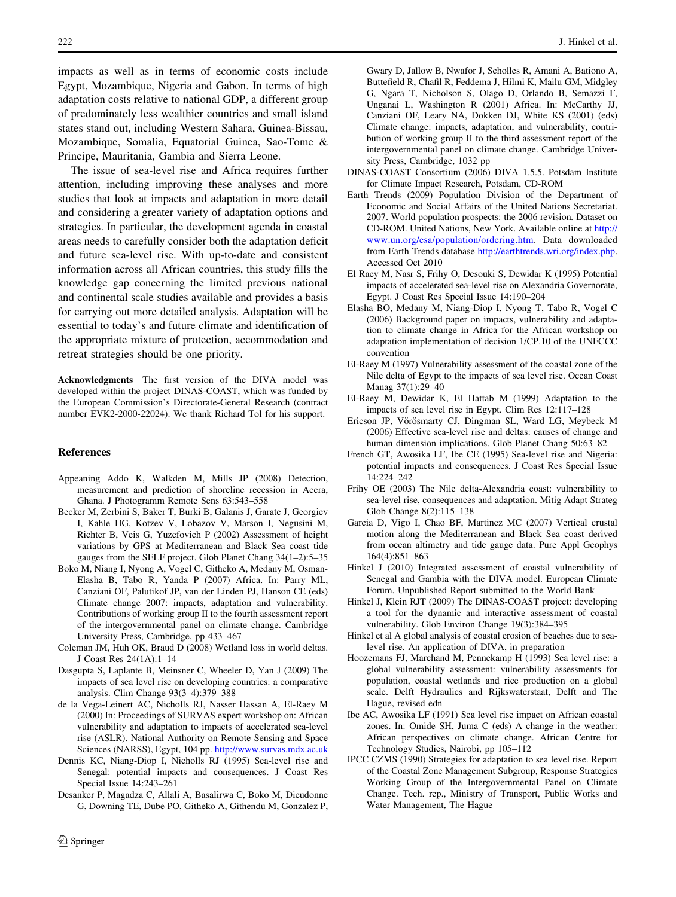impacts as well as in terms of economic costs include Egypt, Mozambique, Nigeria and Gabon. In terms of high adaptation costs relative to national GDP, a different group of predominately less wealthier countries and small island states stand out, including Western Sahara, Guinea-Bissau, Mozambique, Somalia, Equatorial Guinea, Sao-Tome & Principe, Mauritania, Gambia and Sierra Leone.

The issue of sea-level rise and Africa requires further attention, including improving these analyses and more studies that look at impacts and adaptation in more detail and considering a greater variety of adaptation options and strategies. In particular, the development agenda in coastal areas needs to carefully consider both the adaptation deficit and future sea-level rise. With up-to-date and consistent information across all African countries, this study fills the knowledge gap concerning the limited previous national and continental scale studies available and provides a basis for carrying out more detailed analysis. Adaptation will be essential to today's and future climate and identification of the appropriate mixture of protection, accommodation and retreat strategies should be one priority.

Acknowledgments The first version of the DIVA model was developed within the project DINAS-COAST, which was funded by the European Commission's Directorate-General Research (contract number EVK2-2000-22024). We thank Richard Tol for his support.

# References

- Appeaning Addo K, Walkden M, Mills JP (2008) Detection, measurement and prediction of shoreline recession in Accra, Ghana. J Photogramm Remote Sens 63:543–558
- Becker M, Zerbini S, Baker T, Burki B, Galanis J, Garate J, Georgiev I, Kahle HG, Kotzev V, Lobazov V, Marson I, Negusini M, Richter B, Veis G, Yuzefovich P (2002) Assessment of height variations by GPS at Mediterranean and Black Sea coast tide gauges from the SELF project. Glob Planet Chang 34(1–2):5–35
- Boko M, Niang I, Nyong A, Vogel C, Githeko A, Medany M, Osman-Elasha B, Tabo R, Yanda P (2007) Africa. In: Parry ML, Canziani OF, Palutikof JP, van der Linden PJ, Hanson CE (eds) Climate change 2007: impacts, adaptation and vulnerability. Contributions of working group II to the fourth assessment report of the intergovernmental panel on climate change. Cambridge University Press, Cambridge, pp 433–467
- Coleman JM, Huh OK, Braud D (2008) Wetland loss in world deltas. J Coast Res 24(1A):1–14
- Dasgupta S, Laplante B, Meinsner C, Wheeler D, Yan J (2009) The impacts of sea level rise on developing countries: a comparative analysis. Clim Change 93(3–4):379–388
- de la Vega-Leinert AC, Nicholls RJ, Nasser Hassan A, El-Raey M (2000) In: Proceedings of SURVAS expert workshop on: African vulnerability and adaptation to impacts of accelerated sea-level rise (ASLR). National Authority on Remote Sensing and Space Sciences (NARSS), Egypt, 104 pp. <http://www.survas.mdx.ac.uk>
- Dennis KC, Niang-Diop I, Nicholls RJ (1995) Sea-level rise and Senegal: potential impacts and consequences. J Coast Res Special Issue 14:243–261
- <span id="page-15-0"></span>Desanker P, Magadza C, Allali A, Basalirwa C, Boko M, Dieudonne G, Downing TE, Dube PO, Githeko A, Githendu M, Gonzalez P,

Gwary D, Jallow B, Nwafor J, Scholles R, Amani A, Bationo A, Buttefield R, Chafil R, Feddema J, Hilmi K, Mailu GM, Midgley G, Ngara T, Nicholson S, Olago D, Orlando B, Semazzi F, Unganai L, Washington R (2001) Africa. In: McCarthy JJ, Canziani OF, Leary NA, Dokken DJ, White KS (2001) (eds) Climate change: impacts, adaptation, and vulnerability, contribution of working group II to the third assessment report of the intergovernmental panel on climate change. Cambridge University Press, Cambridge, 1032 pp

- DINAS-COAST Consortium (2006) DIVA 1.5.5. Potsdam Institute for Climate Impact Research, Potsdam, CD-ROM
- Earth Trends (2009) Population Division of the Department of Economic and Social Affairs of the United Nations Secretariat. 2007. World population prospects: the 2006 revision. Dataset on CD-ROM. United Nations, New York. Available online at [http://](http://www.un.org/esa/population/ordering.htm) [www.un.org/esa/population/ordering.htm](http://www.un.org/esa/population/ordering.htm). Data downloaded from Earth Trends database <http://earthtrends.wri.org/index.php>. Accessed Oct 2010
- El Raey M, Nasr S, Frihy O, Desouki S, Dewidar K (1995) Potential impacts of accelerated sea-level rise on Alexandria Governorate, Egypt. J Coast Res Special Issue 14:190–204
- Elasha BO, Medany M, Niang-Diop I, Nyong T, Tabo R, Vogel C (2006) Background paper on impacts, vulnerability and adaptation to climate change in Africa for the African workshop on adaptation implementation of decision 1/CP.10 of the UNFCCC convention
- El-Raey M (1997) Vulnerability assessment of the coastal zone of the Nile delta of Egypt to the impacts of sea level rise. Ocean Coast Manag 37(1):29–40
- El-Raey M, Dewidar K, El Hattab M (1999) Adaptation to the impacts of sea level rise in Egypt. Clim Res 12:117–128
- Ericson JP, Vörösmarty CJ, Dingman SL, Ward LG, Meybeck M (2006) Effective sea-level rise and deltas: causes of change and human dimension implications. Glob Planet Chang 50:63–82
- French GT, Awosika LF, Ibe CE (1995) Sea-level rise and Nigeria: potential impacts and consequences. J Coast Res Special Issue 14:224–242
- Frihy OE (2003) The Nile delta-Alexandria coast: vulnerability to sea-level rise, consequences and adaptation. Mitig Adapt Strateg Glob Change 8(2):115–138
- Garcia D, Vigo I, Chao BF, Martinez MC (2007) Vertical crustal motion along the Mediterranean and Black Sea coast derived from ocean altimetry and tide gauge data. Pure Appl Geophys 164(4):851–863
- Hinkel J (2010) Integrated assessment of coastal vulnerability of Senegal and Gambia with the DIVA model. European Climate Forum. Unpublished Report submitted to the World Bank
- Hinkel J, Klein RJT (2009) The DINAS-COAST project: developing a tool for the dynamic and interactive assessment of coastal vulnerability. Glob Environ Change 19(3):384–395
- Hinkel et al A global analysis of coastal erosion of beaches due to sealevel rise. An application of DIVA, in preparation
- Hoozemans FJ, Marchand M, Pennekamp H (1993) Sea level rise: a global vulnerability assessment: vulnerability assessments for population, coastal wetlands and rice production on a global scale. Delft Hydraulics and Rijkswaterstaat, Delft and The Hague, revised edn
- Ibe AC, Awosika LF (1991) Sea level rise impact on African coastal zones. In: Omide SH, Juma C (eds) A change in the weather: African perspectives on climate change. African Centre for Technology Studies, Nairobi, pp 105–112
- IPCC CZMS (1990) Strategies for adaptation to sea level rise. Report of the Coastal Zone Management Subgroup, Response Strategies Working Group of the Intergovernmental Panel on Climate Change. Tech. rep., Ministry of Transport, Public Works and Water Management, The Hague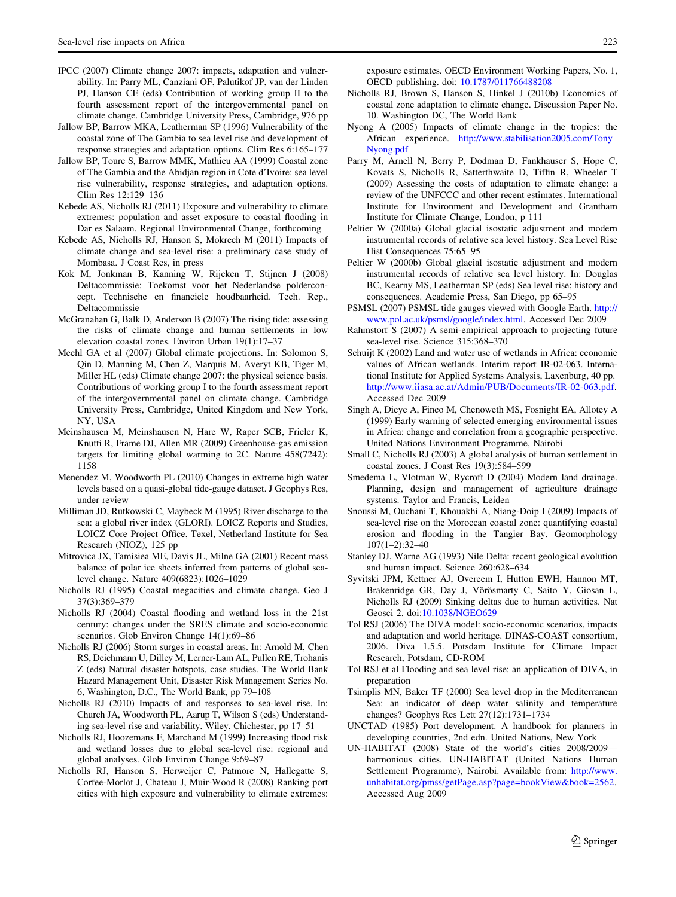- IPCC (2007) Climate change 2007: impacts, adaptation and vulnerability. In: Parry ML, Canziani OF, Palutikof JP, van der Linden PJ, Hanson CE (eds) Contribution of working group II to the fourth assessment report of the intergovernmental panel on climate change. Cambridge University Press, Cambridge, 976 pp
- Jallow BP, Barrow MKA, Leatherman SP (1996) Vulnerability of the coastal zone of The Gambia to sea level rise and development of response strategies and adaptation options. Clim Res 6:165–177
- Jallow BP, Toure S, Barrow MMK, Mathieu AA (1999) Coastal zone of The Gambia and the Abidjan region in Cote d'Ivoire: sea level rise vulnerability, response strategies, and adaptation options. Clim Res 12:129–136
- Kebede AS, Nicholls RJ (2011) Exposure and vulnerability to climate extremes: population and asset exposure to coastal flooding in Dar es Salaam. Regional Environmental Change, forthcoming
- Kebede AS, Nicholls RJ, Hanson S, Mokrech M (2011) Impacts of climate change and sea-level rise: a preliminary case study of Mombasa. J Coast Res, in press
- Kok M, Jonkman B, Kanning W, Rijcken T, Stijnen J (2008) Deltacommissie: Toekomst voor het Nederlandse polderconcept. Technische en financiele houdbaarheid. Tech. Rep., Deltacommissie
- McGranahan G, Balk D, Anderson B (2007) The rising tide: assessing the risks of climate change and human settlements in low elevation coastal zones. Environ Urban 19(1):17–37
- Meehl GA et al (2007) Global climate projections. In: Solomon S, Qin D, Manning M, Chen Z, Marquis M, Averyt KB, Tiger M, Miller HL (eds) Climate change 2007: the physical science basis. Contributions of working group I to the fourth assessment report of the intergovernmental panel on climate change. Cambridge University Press, Cambridge, United Kingdom and New York, NY, USA
- Meinshausen M, Meinshausen N, Hare W, Raper SCB, Frieler K, Knutti R, Frame DJ, Allen MR (2009) Greenhouse-gas emission targets for limiting global warming to 2C. Nature 458(7242): 1158
- Menendez M, Woodworth PL (2010) Changes in extreme high water levels based on a quasi-global tide-gauge dataset. J Geophys Res, under review
- Milliman JD, Rutkowski C, Maybeck M (1995) River discharge to the sea: a global river index (GLORI). LOICZ Reports and Studies, LOICZ Core Project Office, Texel, Netherland Institute for Sea Research (NIOZ), 125 pp
- Mitrovica JX, Tamisiea ME, Davis JL, Milne GA (2001) Recent mass balance of polar ice sheets inferred from patterns of global sealevel change. Nature 409(6823):1026–1029
- Nicholls RJ (1995) Coastal megacities and climate change. Geo J 37(3):369–379
- Nicholls RJ (2004) Coastal flooding and wetland loss in the 21st century: changes under the SRES climate and socio-economic scenarios. Glob Environ Change 14(1):69–86
- Nicholls RJ (2006) Storm surges in coastal areas. In: Arnold M, Chen RS, Deichmann U, Dilley M, Lerner-Lam AL, Pullen RE, Trohanis Z (eds) Natural disaster hotspots, case studies. The World Bank Hazard Management Unit, Disaster Risk Management Series No. 6, Washington, D.C., The World Bank, pp 79–108
- Nicholls RJ (2010) Impacts of and responses to sea-level rise. In: Church JA, Woodworth PL, Aarup T, Wilson S (eds) Understanding sea-level rise and variability. Wiley, Chichester, pp 17–51
- Nicholls RJ, Hoozemans F, Marchand M (1999) Increasing flood risk and wetland losses due to global sea-level rise: regional and global analyses. Glob Environ Change 9:69–87
- <span id="page-16-0"></span>Nicholls RJ, Hanson S, Herweijer C, Patmore N, Hallegatte S, Corfee-Morlot J, Chateau J, Muir-Wood R (2008) Ranking port cities with high exposure and vulnerability to climate extremes:

exposure estimates. OECD Environment Working Papers, No. 1, OECD publishing. doi: [10.1787/011766488208](http://dx.doi.org/10.1787/011766488208)

- Nicholls RJ, Brown S, Hanson S, Hinkel J (2010b) Economics of coastal zone adaptation to climate change. Discussion Paper No. 10. Washington DC, The World Bank
- Nyong A (2005) Impacts of climate change in the tropics: the African experience. [http://www.stabilisation2005.com/Tony\\_](http://www.stabilisation2005.com/Tony_Nyong.pdf) [Nyong.pdf](http://www.stabilisation2005.com/Tony_Nyong.pdf)
- Parry M, Arnell N, Berry P, Dodman D, Fankhauser S, Hope C, Kovats S, Nicholls R, Satterthwaite D, Tiffin R, Wheeler T (2009) Assessing the costs of adaptation to climate change: a review of the UNFCCC and other recent estimates. International Institute for Environment and Development and Grantham Institute for Climate Change, London, p 111
- Peltier W (2000a) Global glacial isostatic adjustment and modern instrumental records of relative sea level history. Sea Level Rise Hist Consequences 75:65–95
- Peltier W (2000b) Global glacial isostatic adjustment and modern instrumental records of relative sea level history. In: Douglas BC, Kearny MS, Leatherman SP (eds) Sea level rise; history and consequences. Academic Press, San Diego, pp 65–95
- PSMSL (2007) PSMSL tide gauges viewed with Google Earth. [http://](http://www.pol.ac.uk/psmsl/google/index.html) [www.pol.ac.uk/psmsl/google/index.html](http://www.pol.ac.uk/psmsl/google/index.html). Accessed Dec 2009
- Rahmstorf S (2007) A semi-empirical approach to projecting future sea-level rise. Science 315:368–370
- Schuijt K (2002) Land and water use of wetlands in Africa: economic values of African wetlands. Interim report IR-02-063. International Institute for Applied Systems Analysis, Laxenburg, 40 pp. <http://www.iiasa.ac.at/Admin/PUB/Documents/IR-02-063.pdf>. Accessed Dec 2009
- Singh A, Dieye A, Finco M, Chenoweth MS, Fosnight EA, Allotey A (1999) Early warning of selected emerging environmental issues in Africa: change and correlation from a geographic perspective. United Nations Environment Programme, Nairobi
- Small C, Nicholls RJ (2003) A global analysis of human settlement in coastal zones. J Coast Res 19(3):584–599
- Smedema L, Vlotman W, Rycroft D (2004) Modern land drainage. Planning, design and management of agriculture drainage systems. Taylor and Francis, Leiden
- Snoussi M, Ouchani T, Khouakhi A, Niang-Doip I (2009) Impacts of sea-level rise on the Moroccan coastal zone: quantifying coastal erosion and flooding in the Tangier Bay. Geomorphology 107(1–2):32–40
- Stanley DJ, Warne AG (1993) Nile Delta: recent geological evolution and human impact. Science 260:628–634
- Syvitski JPM, Kettner AJ, Overeem I, Hutton EWH, Hannon MT, Brakenridge GR, Day J, Vörösmarty C, Saito Y, Giosan L, Nicholls RJ (2009) Sinking deltas due to human activities. Nat Geosci 2. doi:[10.1038/NGEO629](http://dx.doi.org/10.1038/NGEO629)
- Tol RSJ (2006) The DIVA model: socio-economic scenarios, impacts and adaptation and world heritage. DINAS-COAST consortium, 2006. Diva 1.5.5. Potsdam Institute for Climate Impact Research, Potsdam, CD-ROM
- Tol RSJ et al Flooding and sea level rise: an application of DIVA, in preparation
- Tsimplis MN, Baker TF (2000) Sea level drop in the Mediterranean Sea: an indicator of deep water salinity and temperature changes? Geophys Res Lett 27(12):1731–1734
- UNCTAD (1985) Port development. A handbook for planners in developing countries, 2nd edn. United Nations, New York
- UN-HABITAT (2008) State of the world's cities 2008/2009 harmonious cities. UN-HABITAT (United Nations Human Settlement Programme), Nairobi. Available from: [http://www.](http://www.unhabitat.org/pmss/getPage.asp?page=bookView&book=2562) [unhabitat.org/pmss/getPage.asp?page=bookView&book=2562](http://www.unhabitat.org/pmss/getPage.asp?page=bookView&book=2562). Accessed Aug 2009